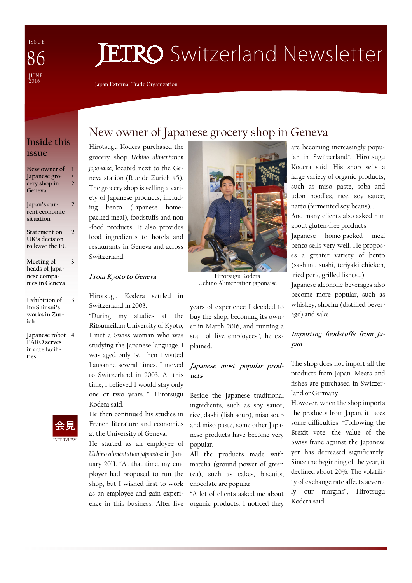I S S U E J U N E<br>2016 86

# **JETRO** Switzerland Newsletter

**Japan External Trade Organization** 

#### **Inside this issue**

**New owner of 1 Japanese grocery shop in Geneva 2** 

**+**

**3** 

- **Japan's current economic situation 2**
- **Statement on UK's decision to leave the EU 2**
- **Meeting of heads of Japanese companies in Geneva**
- **Exhibition of Ito Shinsui's works in Zurich 3**
- **Japanese robot 4 PARO serves in care facilities**



# New owner of Japanese grocery shop in Geneva

Hirotsugu Kodera purchased the grocery shop *Uchino alimentation japonaise*, located next to the Geneva station (Rue de Zurich 45). The grocery shop is selling a variety of Japanese products, including bento (Japanese homepacked meal), foodstuffs and non -food products. It also provides food ingredients to hotels and restaurants in Geneva and across Switzerland.

#### **From Kyoto to Geneva**

Hirotsugu Kodera settled in Switzerland in 2003.

"During my studies at the Ritsumeikan University of Kyoto, I met a Swiss woman who was studying the Japanese language. I was aged only 19. Then I visited Lausanne several times. I moved to Switzerland in 2003. At this time, I believed I would stay only one or two years…", Hirotsugu Kodera said.

He then continued his studies in French literature and economics at the University of Geneva.

He started as an employee of *Uchino alimentation japonaise* in January 2011. "At that time, my employer had proposed to run the shop, but I wished first to work as an employee and gain experience in this business. After five



Hirotsugu Kodera Uchino Alimentation japonaise

years of experience I decided to buy the shop, becoming its owner in March 2016, and running a staff of five employees", he explained.

#### **Japanese most popular products**

Beside the Japanese traditional ingredients, such as soy sauce, rice, dashi (fish soup), miso soup and miso paste, some other Japanese products have become very popular.

All the products made with matcha (ground power of green tea), such as cakes, biscuits, chocolate are popular.

"A lot of clients asked me about organic products. I noticed they

are becoming increasingly popular in Switzerland", Hirotsugu Kodera said. His shop sells a large variety of organic products, such as miso paste, soba and udon noodles, rice, soy sauce, natto (fermented soy beans)…

And many clients also asked him about gluten-free products.

Japanese home-packed meal bento sells very well. He proposes a greater variety of bento (sashimi, sushi, teriyaki chicken, fried pork, grilled fishes…).

Japanese alcoholic beverages also become more popular, such as whiskey, shochu (distilled beverage) and sake.

#### **Importing foodstuffs from Japan**

The shop does not import all the products from Japan. Meats and fishes are purchased in Switzerland or Germany.

However, when the shop imports the products from Japan, it faces some difficulties. "Following the Brexit vote, the value of the Swiss franc against the Japanese yen has decreased significantly. Since the beginning of the year, it declined about 20%. The volatility of exchange rate affects severely our margins", Hirotsugu Kodera said.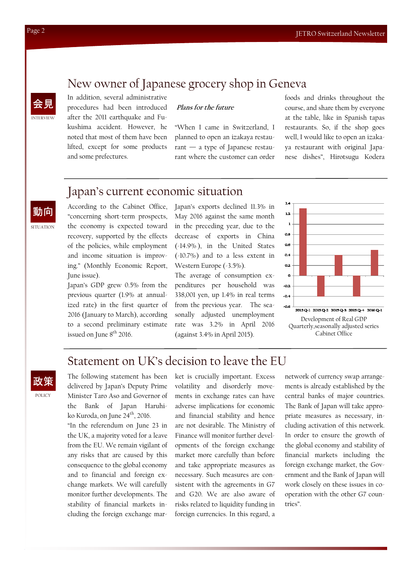# New owner of Japanese grocery shop in Geneva



In addition, several administrative

procedures had been introduced after the 2011 earthquake and Fukushima accident. However, he noted that most of them have been lifted, except for some products and some prefectures.

#### **Plans for the future**

"When I came in Switzerland, I planned to open an izakaya restaurant — a type of Japanese restaurant where the customer can order foods and drinks throughout the course, and share them by everyone at the table, like in Spanish tapas restaurants. So, if the shop goes well, I would like to open an izakaya restaurant with original Japanese dishes", Hirotsugu Kodera

#### Japan's current economic situation

**SITUATION** 動向

According to the Cabinet Office, "concerning short-term prospects, the economy is expected toward recovery, supported by the effects of the policies, while employment and income situation is improving." (Monthly Economic Report, June issue).

Japan's GDP grew 0.5% from the previous quarter (1.9% at annualized rate) in the first quarter of 2016 (January to March), according to a second preliminary estimate issued on June 8<sup>th</sup> 2016.

Japan's exports declined 11.3% in May 2016 against the same month in the preceding year, due to the decrease of exports in China (-14.9% ), in the United States (-10.7%) and to a less extent in Western Europe (-3.5%).

The average of consumption expenditures per household was 338,001 yen, up 1.4% in real terms from the previous year. The seasonally adjusted unemployment rate was 3.2% in April 2016 (against 3.4% in April 2015).



## Statement on UK's decision to leave the EU



The following statement has been delivered by Japan's Deputy Prime Minister Taro Aso and Governor of the Bank of Japan Haruhiko Kuroda, on June 24<sup>th</sup>, 2016.

"In the referendum on June 23 in the UK, a majority voted for a leave from the EU. We remain vigilant of any risks that are caused by this consequence to the global economy and to financial and foreign exchange markets. We will carefully monitor further developments. The stability of financial markets including the foreign exchange market is crucially important. Excess volatility and disorderly movements in exchange rates can have adverse implications for economic and financial stability and hence are not desirable. The Ministry of Finance will monitor further developments of the foreign exchange market more carefully than before and take appropriate measures as necessary. Such measures are consistent with the agreements in G7 and G20. We are also aware of risks related to liquidity funding in foreign currencies. In this regard, a

network of currency swap arrangements is already established by the central banks of major countries. The Bank of Japan will take appropriate measures as necessary, including activation of this network. In order to ensure the growth of the global economy and stability of financial markets including the foreign exchange market, the Government and the Bank of Japan will work closely on these issues in cooperation with the other G7 countries".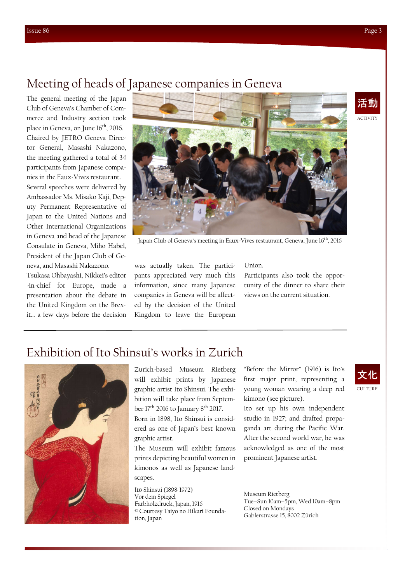# Meeting of heads of Japanese companies in Geneva

The general meeting of the Japan Club of Geneva's Chamber of Commerce and Industry section took place in Geneva, on June 16<sup>th</sup>, 2016. Chaired by JETRO Geneva Director General, Masashi Nakazono, the meeting gathered a total of 34 participants from Japanese companies in the Eaux-Vives restaurant. Several speeches were delivered by Ambassador Ms. Misako Kaji, Deputy Permanent Representative of Japan to the United Nations and Other International Organizations in Geneva and head of the Japanese Consulate in Geneva, Miho Habel, President of the Japan Club of Geneva, and Masashi Nakazono.

Tsukasa Ohbayashi, Nikkei's editor -in-chief for Europe, made a presentation about the debate in the United Kingdom on the Brexit… a few days before the decision



Japan Club of Geneva's meeting in Eaux-Vives restaurant, Geneva, June 16<sup>th</sup>, 2016

was actually taken. The participants appreciated very much this information, since many Japanese companies in Geneva will be affected by the decision of the United Kingdom to leave the European Union.

Participants also took the opportunity of the dinner to share their views on the current situation.

### Exhibition of Ito Shinsui's works in Zurich



Zurich-based Museum Rietberg will exhibit prints by Japanese graphic artist Ito Shinsui. The exhibition will take place from September  $17<sup>th</sup>$  2016 to January  $8<sup>th</sup>$  2017.

Born in 1898, Ito Shinsui is considered as one of Japan's best known graphic artist.

The Museum will exhibit famous prints depicting beautiful women in kimonos as well as Japanese landscapes.

Itō Shinsui (1898-1972) Vor dem Spiegel Farbholzdruck, Japan, 1916 © Courtesy Taiyo no Hikari Foundation, Japan

"Before the Mirror" (1916) is Ito's first major print, representing a young woman wearing a deep red kimono (see picture).

Ito set up his own independent studio in 1927; and drafted propaganda art during the Pacific War. After the second world war, he was acknowledged as one of the most prominent Japanese artist.

Museum Rietberg Tue−Sun 10am−5pm, Wed 10am−8pm Closed on Mondays Gablerstrasse 15, 8002 Zürich